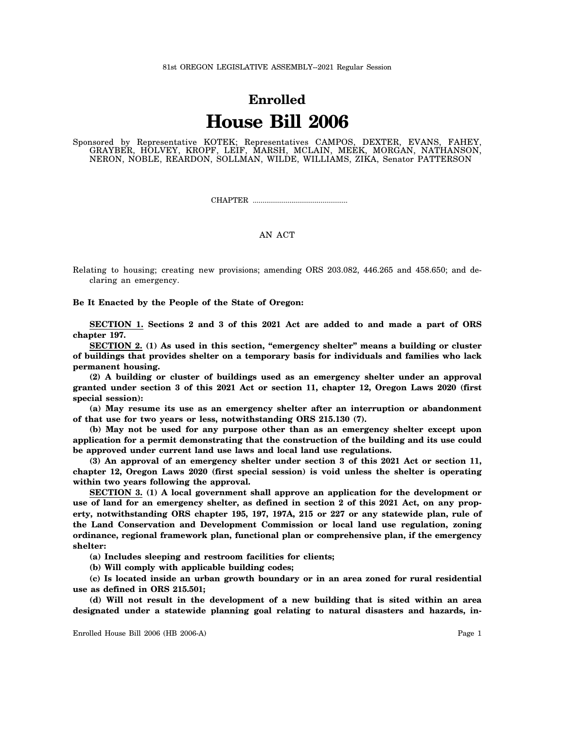## **Enrolled House Bill 2006**

Sponsored by Representative KOTEK; Representatives CAMPOS, DEXTER, EVANS, FAHEY, GRAYBER, HOLVEY, KROPF, LEIF, MARSH, MCLAIN, MEEK, MORGAN, NATHANSON, NERON, NOBLE, REARDON, SOLLMAN, WILDE, WILLIAMS, ZIKA, Senator PATTERSON

CHAPTER .................................................

## AN ACT

Relating to housing; creating new provisions; amending ORS 203.082, 446.265 and 458.650; and declaring an emergency.

**Be It Enacted by the People of the State of Oregon:**

**SECTION 1. Sections 2 and 3 of this 2021 Act are added to and made a part of ORS chapter 197.**

**SECTION 2. (1) As used in this section, "emergency shelter" means a building or cluster of buildings that provides shelter on a temporary basis for individuals and families who lack permanent housing.**

**(2) A building or cluster of buildings used as an emergency shelter under an approval granted under section 3 of this 2021 Act or section 11, chapter 12, Oregon Laws 2020 (first special session):**

**(a) May resume its use as an emergency shelter after an interruption or abandonment of that use for two years or less, notwithstanding ORS 215.130 (7).**

**(b) May not be used for any purpose other than as an emergency shelter except upon application for a permit demonstrating that the construction of the building and its use could be approved under current land use laws and local land use regulations.**

**(3) An approval of an emergency shelter under section 3 of this 2021 Act or section 11, chapter 12, Oregon Laws 2020 (first special session) is void unless the shelter is operating within two years following the approval.**

**SECTION 3. (1) A local government shall approve an application for the development or use of land for an emergency shelter, as defined in section 2 of this 2021 Act, on any property, notwithstanding ORS chapter 195, 197, 197A, 215 or 227 or any statewide plan, rule of the Land Conservation and Development Commission or local land use regulation, zoning ordinance, regional framework plan, functional plan or comprehensive plan, if the emergency shelter:**

**(a) Includes sleeping and restroom facilities for clients;**

**(b) Will comply with applicable building codes;**

**(c) Is located inside an urban growth boundary or in an area zoned for rural residential use as defined in ORS 215.501;**

**(d) Will not result in the development of a new building that is sited within an area designated under a statewide planning goal relating to natural disasters and hazards, in-**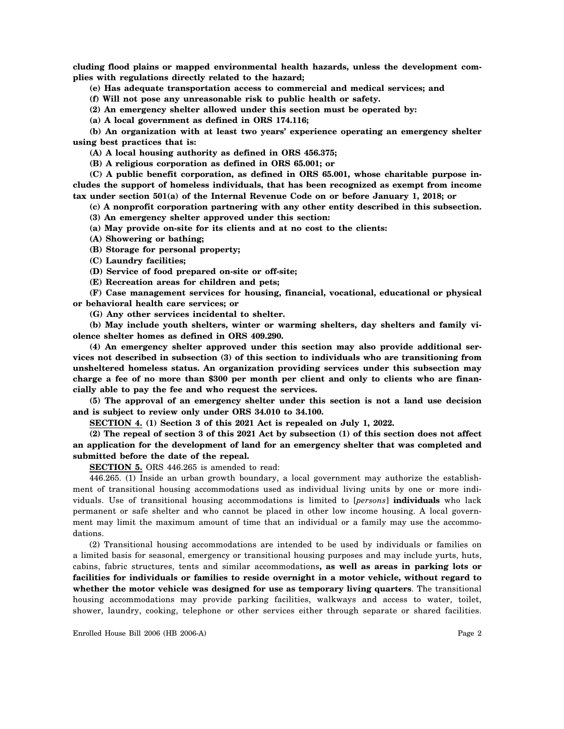**cluding flood plains or mapped environmental health hazards, unless the development complies with regulations directly related to the hazard;**

**(e) Has adequate transportation access to commercial and medical services; and**

**(f) Will not pose any unreasonable risk to public health or safety.**

**(2) An emergency shelter allowed under this section must be operated by:**

**(a) A local government as defined in ORS 174.116;**

**(b) An organization with at least two years' experience operating an emergency shelter using best practices that is:**

**(A) A local housing authority as defined in ORS 456.375;**

**(B) A religious corporation as defined in ORS 65.001; or**

**(C) A public benefit corporation, as defined in ORS 65.001, whose charitable purpose includes the support of homeless individuals, that has been recognized as exempt from income tax under section 501(a) of the Internal Revenue Code on or before January 1, 2018; or**

**(c) A nonprofit corporation partnering with any other entity described in this subsection. (3) An emergency shelter approved under this section:**

**(a) May provide on-site for its clients and at no cost to the clients:**

**(A) Showering or bathing;**

**(B) Storage for personal property;**

**(C) Laundry facilities;**

**(D) Service of food prepared on-site or off-site;**

**(E) Recreation areas for children and pets;**

**(F) Case management services for housing, financial, vocational, educational or physical or behavioral health care services; or**

**(G) Any other services incidental to shelter.**

**(b) May include youth shelters, winter or warming shelters, day shelters and family violence shelter homes as defined in ORS 409.290.**

**(4) An emergency shelter approved under this section may also provide additional services not described in subsection (3) of this section to individuals who are transitioning from unsheltered homeless status. An organization providing services under this subsection may charge a fee of no more than \$300 per month per client and only to clients who are financially able to pay the fee and who request the services.**

**(5) The approval of an emergency shelter under this section is not a land use decision and is subject to review only under ORS 34.010 to 34.100.**

**SECTION 4. (1) Section 3 of this 2021 Act is repealed on July 1, 2022.**

**(2) The repeal of section 3 of this 2021 Act by subsection (1) of this section does not affect an application for the development of land for an emergency shelter that was completed and submitted before the date of the repeal.**

**SECTION 5.** ORS 446.265 is amended to read:

446.265. (1) Inside an urban growth boundary, a local government may authorize the establishment of transitional housing accommodations used as individual living units by one or more individuals. Use of transitional housing accommodations is limited to [*persons*] **individuals** who lack permanent or safe shelter and who cannot be placed in other low income housing. A local government may limit the maximum amount of time that an individual or a family may use the accommodations.

(2) Transitional housing accommodations are intended to be used by individuals or families on a limited basis for seasonal, emergency or transitional housing purposes and may include yurts, huts, cabins, fabric structures, tents and similar accommodations**, as well as areas in parking lots or facilities for individuals or families to reside overnight in a motor vehicle, without regard to whether the motor vehicle was designed for use as temporary living quarters**. The transitional housing accommodations may provide parking facilities, walkways and access to water, toilet, shower, laundry, cooking, telephone or other services either through separate or shared facilities.

Enrolled House Bill 2006 (HB 2006-A) Page 2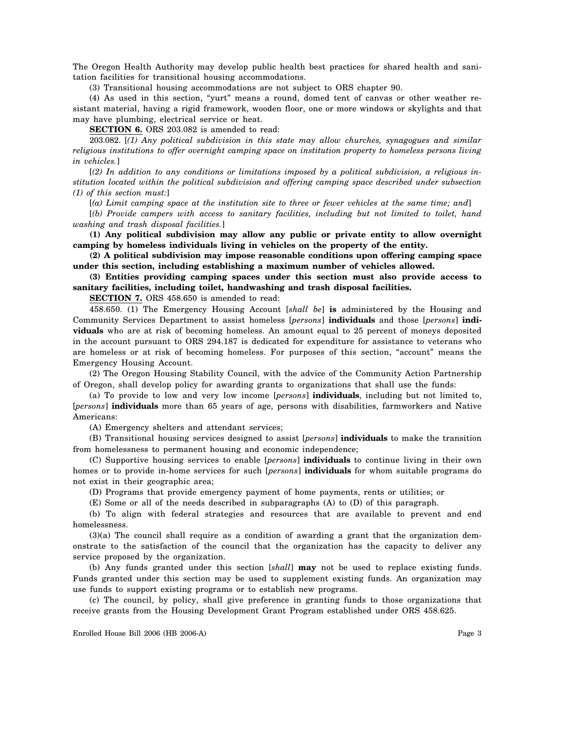The Oregon Health Authority may develop public health best practices for shared health and sanitation facilities for transitional housing accommodations.

(3) Transitional housing accommodations are not subject to ORS chapter 90.

(4) As used in this section, "yurt" means a round, domed tent of canvas or other weather resistant material, having a rigid framework, wooden floor, one or more windows or skylights and that may have plumbing, electrical service or heat.

**SECTION 6.** ORS 203.082 is amended to read:

203.082. [*(1) Any political subdivision in this state may allow churches, synagogues and similar religious institutions to offer overnight camping space on institution property to homeless persons living in vehicles.*]

[*(2) In addition to any conditions or limitations imposed by a political subdivision, a religious institution located within the political subdivision and offering camping space described under subsection (1) of this section must:*]

[*(a) Limit camping space at the institution site to three or fewer vehicles at the same time; and*]

[*(b) Provide campers with access to sanitary facilities, including but not limited to toilet, hand washing and trash disposal facilities.*]

**(1) Any political subdivision may allow any public or private entity to allow overnight camping by homeless individuals living in vehicles on the property of the entity.**

**(2) A political subdivision may impose reasonable conditions upon offering camping space under this section, including establishing a maximum number of vehicles allowed.**

**(3) Entities providing camping spaces under this section must also provide access to sanitary facilities, including toilet, handwashing and trash disposal facilities.**

**SECTION 7.** ORS 458.650 is amended to read:

458.650. (1) The Emergency Housing Account [*shall be*] **is** administered by the Housing and Community Services Department to assist homeless [*persons*] **individuals** and those [*persons*] **individuals** who are at risk of becoming homeless. An amount equal to 25 percent of moneys deposited in the account pursuant to ORS 294.187 is dedicated for expenditure for assistance to veterans who are homeless or at risk of becoming homeless. For purposes of this section, "account" means the Emergency Housing Account.

(2) The Oregon Housing Stability Council, with the advice of the Community Action Partnership of Oregon, shall develop policy for awarding grants to organizations that shall use the funds:

(a) To provide to low and very low income [*persons*] **individuals**, including but not limited to, [*persons*] **individuals** more than 65 years of age, persons with disabilities, farmworkers and Native Americans:

(A) Emergency shelters and attendant services;

(B) Transitional housing services designed to assist [*persons*] **individuals** to make the transition from homelessness to permanent housing and economic independence;

(C) Supportive housing services to enable [*persons*] **individuals** to continue living in their own homes or to provide in-home services for such [*persons*] **individuals** for whom suitable programs do not exist in their geographic area;

(D) Programs that provide emergency payment of home payments, rents or utilities; or

(E) Some or all of the needs described in subparagraphs (A) to (D) of this paragraph.

(b) To align with federal strategies and resources that are available to prevent and end homelessness.

(3)(a) The council shall require as a condition of awarding a grant that the organization demonstrate to the satisfaction of the council that the organization has the capacity to deliver any service proposed by the organization.

(b) Any funds granted under this section [*shall*] **may** not be used to replace existing funds. Funds granted under this section may be used to supplement existing funds. An organization may use funds to support existing programs or to establish new programs.

(c) The council, by policy, shall give preference in granting funds to those organizations that receive grants from the Housing Development Grant Program established under ORS 458.625.

Enrolled House Bill 2006 (HB 2006-A) Page 3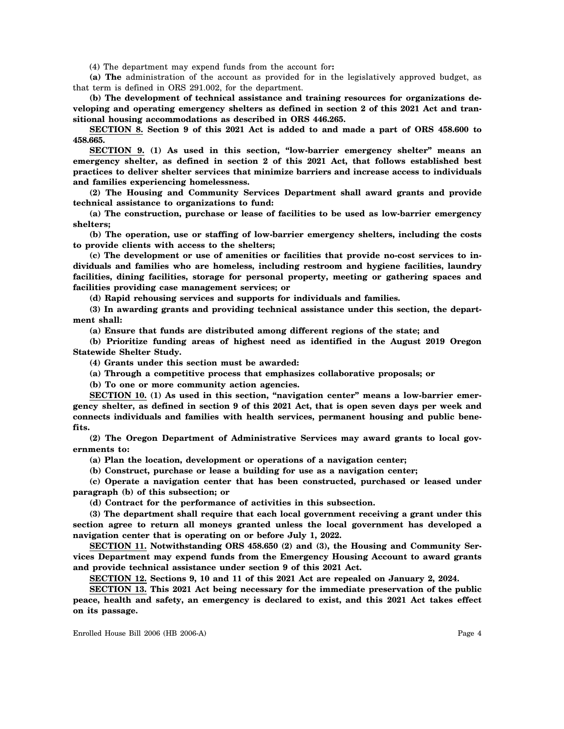(4) The department may expend funds from the account for**:**

**(a) The** administration of the account as provided for in the legislatively approved budget, as that term is defined in ORS 291.002, for the department.

**(b) The development of technical assistance and training resources for organizations developing and operating emergency shelters as defined in section 2 of this 2021 Act and transitional housing accommodations as described in ORS 446.265.**

**SECTION 8. Section 9 of this 2021 Act is added to and made a part of ORS 458.600 to 458.665.**

**SECTION 9. (1) As used in this section, "low-barrier emergency shelter" means an emergency shelter, as defined in section 2 of this 2021 Act, that follows established best practices to deliver shelter services that minimize barriers and increase access to individuals and families experiencing homelessness.**

**(2) The Housing and Community Services Department shall award grants and provide technical assistance to organizations to fund:**

**(a) The construction, purchase or lease of facilities to be used as low-barrier emergency shelters;**

**(b) The operation, use or staffing of low-barrier emergency shelters, including the costs to provide clients with access to the shelters;**

**(c) The development or use of amenities or facilities that provide no-cost services to individuals and families who are homeless, including restroom and hygiene facilities, laundry facilities, dining facilities, storage for personal property, meeting or gathering spaces and facilities providing case management services; or**

**(d) Rapid rehousing services and supports for individuals and families.**

**(3) In awarding grants and providing technical assistance under this section, the department shall:**

**(a) Ensure that funds are distributed among different regions of the state; and**

**(b) Prioritize funding areas of highest need as identified in the August 2019 Oregon Statewide Shelter Study.**

**(4) Grants under this section must be awarded:**

**(a) Through a competitive process that emphasizes collaborative proposals; or**

**(b) To one or more community action agencies.**

**SECTION 10. (1) As used in this section, "navigation center" means a low-barrier emergency shelter, as defined in section 9 of this 2021 Act, that is open seven days per week and connects individuals and families with health services, permanent housing and public benefits.**

**(2) The Oregon Department of Administrative Services may award grants to local governments to:**

**(a) Plan the location, development or operations of a navigation center;**

**(b) Construct, purchase or lease a building for use as a navigation center;**

**(c) Operate a navigation center that has been constructed, purchased or leased under paragraph (b) of this subsection; or**

**(d) Contract for the performance of activities in this subsection.**

**(3) The department shall require that each local government receiving a grant under this section agree to return all moneys granted unless the local government has developed a navigation center that is operating on or before July 1, 2022.**

**SECTION 11. Notwithstanding ORS 458.650 (2) and (3), the Housing and Community Services Department may expend funds from the Emergency Housing Account to award grants and provide technical assistance under section 9 of this 2021 Act.**

**SECTION 12. Sections 9, 10 and 11 of this 2021 Act are repealed on January 2, 2024.**

**SECTION 13. This 2021 Act being necessary for the immediate preservation of the public peace, health and safety, an emergency is declared to exist, and this 2021 Act takes effect on its passage.**

Enrolled House Bill 2006 (HB 2006-A) Page 4